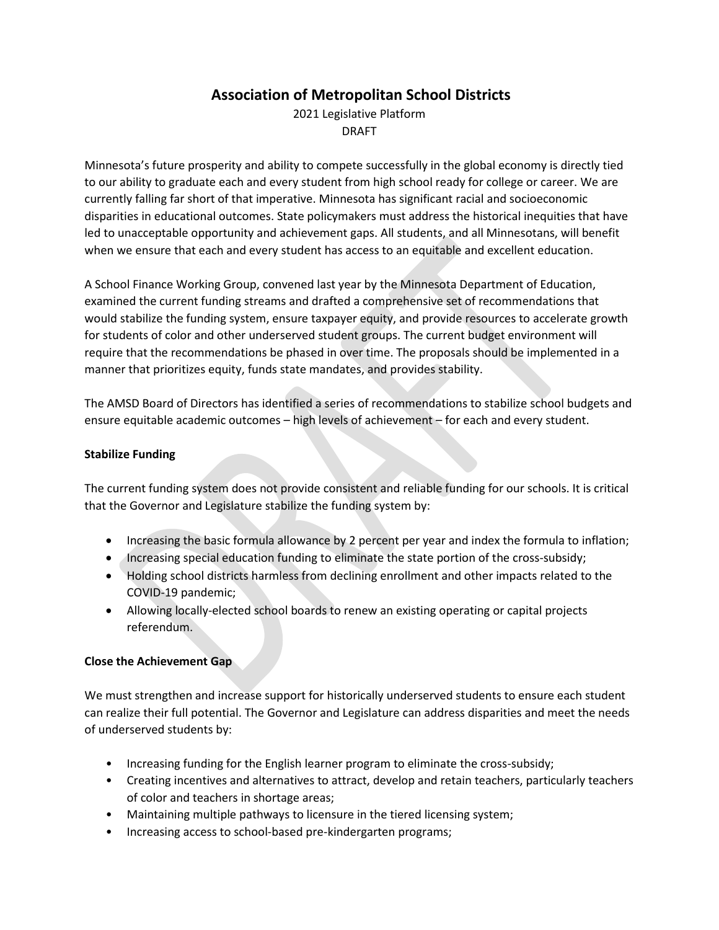# **Association of Metropolitan School Districts**

2021 Legislative Platform DRAFT

Minnesota's future prosperity and ability to compete successfully in the global economy is directly tied to our ability to graduate each and every student from high school ready for college or career. We are currently falling far short of that imperative. Minnesota has significant racial and socioeconomic disparities in educational outcomes. State policymakers must address the historical inequities that have led to unacceptable opportunity and achievement gaps. All students, and all Minnesotans, will benefit when we ensure that each and every student has access to an equitable and excellent education.

A School Finance Working Group, convened last year by the Minnesota Department of Education, examined the current funding streams and drafted a comprehensive set of recommendations that would stabilize the funding system, ensure taxpayer equity, and provide resources to accelerate growth for students of color and other underserved student groups. The current budget environment will require that the recommendations be phased in over time. The proposals should be implemented in a manner that prioritizes equity, funds state mandates, and provides stability.

The AMSD Board of Directors has identified a series of recommendations to stabilize school budgets and ensure equitable academic outcomes – high levels of achievement – for each and every student.

# **Stabilize Funding**

The current funding system does not provide consistent and reliable funding for our schools. It is critical that the Governor and Legislature stabilize the funding system by:

- Increasing the basic formula allowance by 2 percent per year and index the formula to inflation;
- Increasing special education funding to eliminate the state portion of the cross-subsidy;
- Holding school districts harmless from declining enrollment and other impacts related to the COVID-19 pandemic;
- Allowing locally-elected school boards to renew an existing operating or capital projects referendum.

#### **Close the Achievement Gap**

We must strengthen and increase support for historically underserved students to ensure each student can realize their full potential. The Governor and Legislature can address disparities and meet the needs of underserved students by:

- Increasing funding for the English learner program to eliminate the cross-subsidy;
- Creating incentives and alternatives to attract, develop and retain teachers, particularly teachers of color and teachers in shortage areas;
- Maintaining multiple pathways to licensure in the tiered licensing system;
- Increasing access to school-based pre-kindergarten programs;